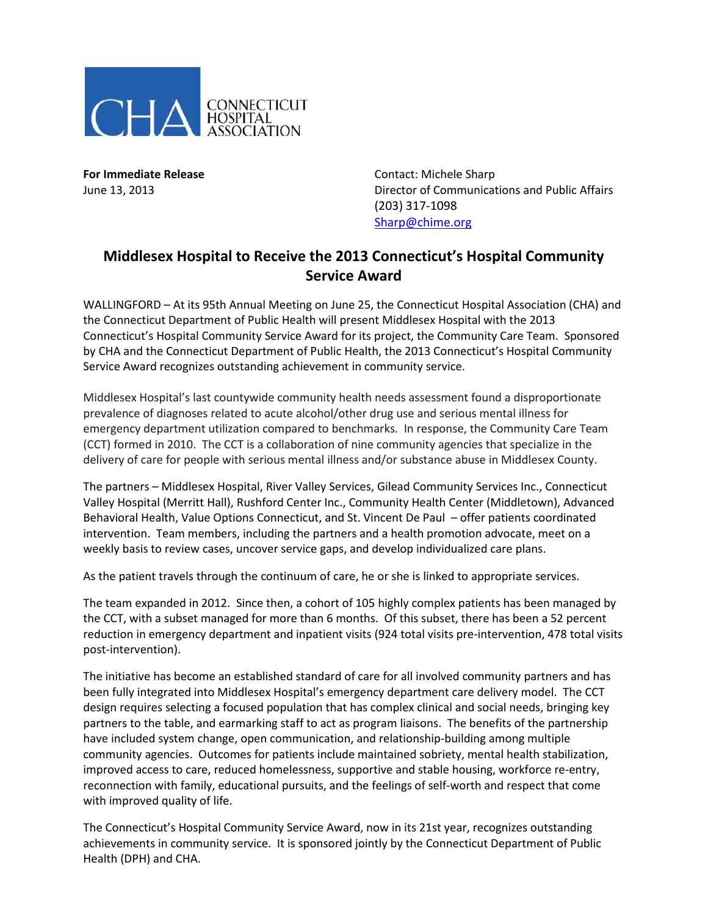

**For Immediate Release Contact: Michele Sharp** June 13, 2013 Director of Communications and Public Affairs (203) 317-1098 [Sharp@chime.org](mailto:Sharp@chime.org)

## **Middlesex Hospital to Receive the 2013 Connecticut's Hospital Community Service Award**

WALLINGFORD – At its 95th Annual Meeting on June 25, the Connecticut Hospital Association (CHA) and the Connecticut Department of Public Health will present Middlesex Hospital with the 2013 Connecticut's Hospital Community Service Award for its project, the Community Care Team. Sponsored by CHA and the Connecticut Department of Public Health, the 2013 Connecticut's Hospital Community Service Award recognizes outstanding achievement in community service.

Middlesex Hospital's last countywide community health needs assessment found a disproportionate prevalence of diagnoses related to acute alcohol/other drug use and serious mental illness for emergency department utilization compared to benchmarks. In response, the Community Care Team (CCT) formed in 2010. The CCT is a collaboration of nine community agencies that specialize in the delivery of care for people with serious mental illness and/or substance abuse in Middlesex County.

The partners – Middlesex Hospital, River Valley Services, Gilead Community Services Inc., Connecticut Valley Hospital (Merritt Hall), Rushford Center Inc., Community Health Center (Middletown), Advanced Behavioral Health, Value Options Connecticut, and St. Vincent De Paul – offer patients coordinated intervention. Team members, including the partners and a health promotion advocate, meet on a weekly basis to review cases, uncover service gaps, and develop individualized care plans.

As the patient travels through the continuum of care, he or she is linked to appropriate services.

The team expanded in 2012. Since then, a cohort of 105 highly complex patients has been managed by the CCT, with a subset managed for more than 6 months. Of this subset, there has been a 52 percent reduction in emergency department and inpatient visits (924 total visits pre-intervention, 478 total visits post-intervention).

The initiative has become an established standard of care for all involved community partners and has been fully integrated into Middlesex Hospital's emergency department care delivery model. The CCT design requires selecting a focused population that has complex clinical and social needs, bringing key partners to the table, and earmarking staff to act as program liaisons. The benefits of the partnership have included system change, open communication, and relationship-building among multiple community agencies. Outcomes for patients include maintained sobriety, mental health stabilization, improved access to care, reduced homelessness, supportive and stable housing, workforce re-entry, reconnection with family, educational pursuits, and the feelings of self-worth and respect that come with improved quality of life.

The Connecticut's Hospital Community Service Award, now in its 21st year, recognizes outstanding achievements in community service. It is sponsored jointly by the Connecticut Department of Public Health (DPH) and CHA.